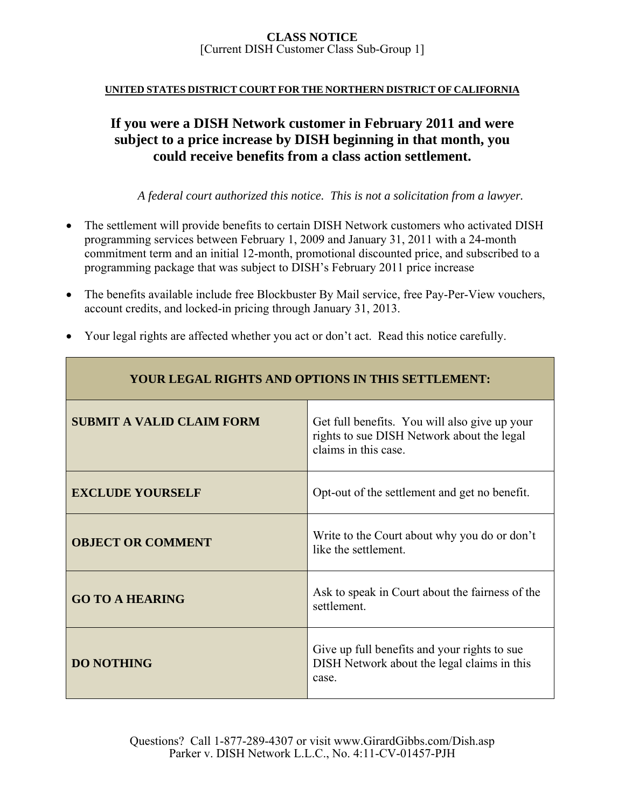### **UNITED STATES DISTRICT COURT FOR THE NORTHERN DISTRICT OF CALIFORNIA**

# **If you were a DISH Network customer in February 2011 and were subject to a price increase by DISH beginning in that month, you could receive benefits from a class action settlement.**

*A federal court authorized this notice. This is not a solicitation from a lawyer.* 

- The settlement will provide benefits to certain DISH Network customers who activated DISH programming services between February 1, 2009 and January 31, 2011 with a 24-month commitment term and an initial 12-month, promotional discounted price, and subscribed to a programming package that was subject to DISH's February 2011 price increase
- The benefits available include free Blockbuster By Mail service, free Pay-Per-View vouchers, account credits, and locked-in pricing through January 31, 2013.
- Your legal rights are affected whether you act or don't act. Read this notice carefully.

| <b>YOUR LEGAL RIGHTS AND OPTIONS IN THIS SETTLEMENT:</b> |                                                                                                                     |  |
|----------------------------------------------------------|---------------------------------------------------------------------------------------------------------------------|--|
| <b>SUBMIT A VALID CLAIM FORM</b>                         | Get full benefits. You will also give up your<br>rights to sue DISH Network about the legal<br>claims in this case. |  |
| <b>EXCLUDE YOURSELF</b>                                  | Opt-out of the settlement and get no benefit.                                                                       |  |
| <b>OBJECT OR COMMENT</b>                                 | Write to the Court about why you do or don't<br>like the settlement.                                                |  |
| <b>GO TO A HEARING</b>                                   | Ask to speak in Court about the fairness of the<br>settlement.                                                      |  |
| <b>DO NOTHING</b>                                        | Give up full benefits and your rights to sue<br>DISH Network about the legal claims in this<br>case.                |  |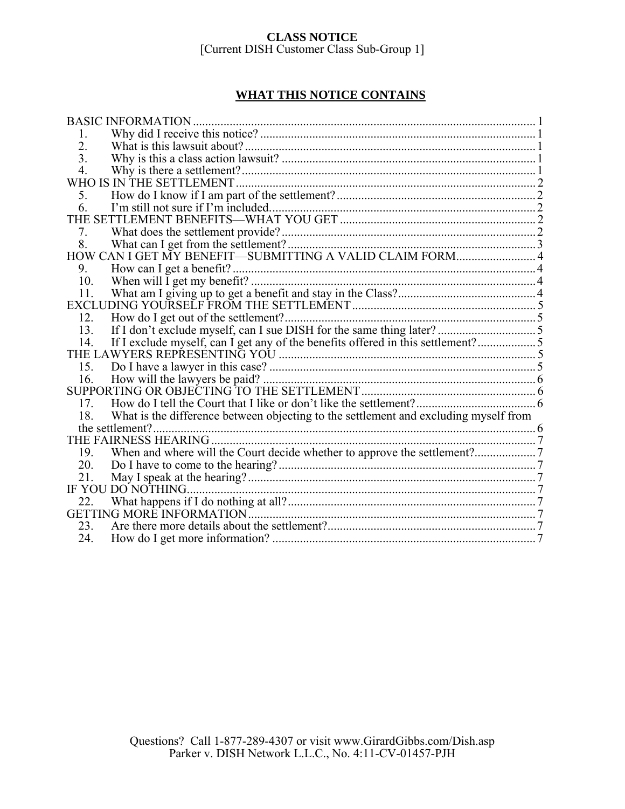## **WHAT THIS NOTICE CONTAINS**

| <b>BASIC INFORMATION.</b>                                                                   |  |
|---------------------------------------------------------------------------------------------|--|
| 1.                                                                                          |  |
| 2.                                                                                          |  |
| 3.                                                                                          |  |
| 4.                                                                                          |  |
| WHO IS IN THE SETTLEMENT.                                                                   |  |
| 5.                                                                                          |  |
| 6                                                                                           |  |
|                                                                                             |  |
| 7.                                                                                          |  |
| 8.                                                                                          |  |
| HOW CAN I GET MY BENEFIT-SUBMITTING A VALID CLAIM FORM 4                                    |  |
| 9.                                                                                          |  |
| 10.                                                                                         |  |
| 11.                                                                                         |  |
|                                                                                             |  |
| 12.                                                                                         |  |
| 13.                                                                                         |  |
| If I exclude myself, can I get any of the benefits offered in this settlement?5<br>14.      |  |
|                                                                                             |  |
|                                                                                             |  |
| 16.                                                                                         |  |
|                                                                                             |  |
| 17.                                                                                         |  |
| What is the difference between objecting to the settlement and excluding myself from<br>18. |  |
| the settlement?                                                                             |  |
|                                                                                             |  |
| 19.                                                                                         |  |
| 20.                                                                                         |  |
| 21.                                                                                         |  |
| IF YOU DO NOTHING                                                                           |  |
| 22.                                                                                         |  |
|                                                                                             |  |
| 23.                                                                                         |  |
| 24.                                                                                         |  |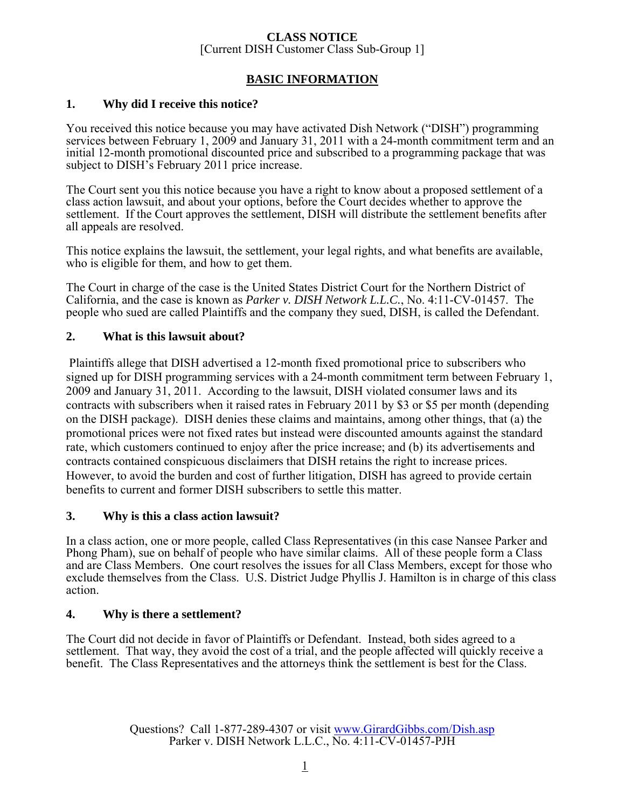## **BASIC INFORMATION**

## **1. Why did I receive this notice?**

You received this notice because you may have activated Dish Network ("DISH") programming services between February 1, 2009 and January 31, 2011 with a 24-month commitment term and an initial 12-month promotional discounted price and subscribed to a programming package that was subject to DISH's February 2011 price increase.

The Court sent you this notice because you have a right to know about a proposed settlement of a class action lawsuit, and about your options, before the Court decides whether to approve the settlement. If the Court approves the settlement, DISH will distribute the settlement benefits after all appeals are resolved.

This notice explains the lawsuit, the settlement, your legal rights, and what benefits are available, who is eligible for them, and how to get them.

The Court in charge of the case is the United States District Court for the Northern District of California, and the case is known as *Parker v. DISH Network L.L.C.*, No. 4:11-CV-01457. The people who sued are called Plaintiffs and the company they sued, DISH, is called the Defendant.

## **2. What is this lawsuit about?**

 Plaintiffs allege that DISH advertised a 12-month fixed promotional price to subscribers who signed up for DISH programming services with a 24-month commitment term between February 1, 2009 and January 31, 2011. According to the lawsuit, DISH violated consumer laws and its contracts with subscribers when it raised rates in February 2011 by \$3 or \$5 per month (depending on the DISH package). DISH denies these claims and maintains, among other things, that (a) the promotional prices were not fixed rates but instead were discounted amounts against the standard rate, which customers continued to enjoy after the price increase; and (b) its advertisements and contracts contained conspicuous disclaimers that DISH retains the right to increase prices. However, to avoid the burden and cost of further litigation, DISH has agreed to provide certain benefits to current and former DISH subscribers to settle this matter.

### **3. Why is this a class action lawsuit?**

In a class action, one or more people, called Class Representatives (in this case Nansee Parker and Phong Pham), sue on behalf of people who have similar claims. All of these people form a Class and are Class Members. One court resolves the issues for all Class Members, except for those who exclude themselves from the Class. U.S. District Judge Phyllis J. Hamilton is in charge of this class action.

## **4. Why is there a settlement?**

The Court did not decide in favor of Plaintiffs or Defendant. Instead, both sides agreed to a settlement. That way, they avoid the cost of a trial, and the people affected will quickly receive a benefit. The Class Representatives and the attorneys think the settlement is best for the Class.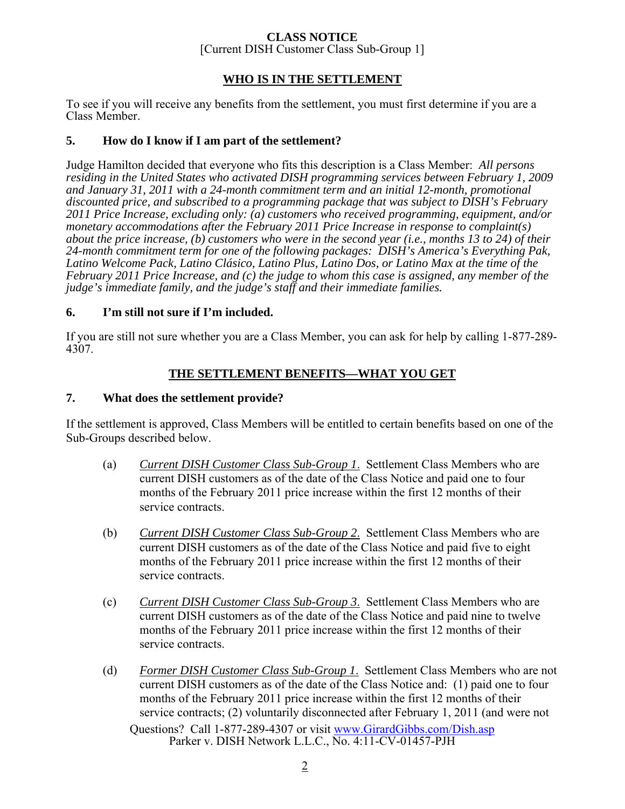## **CLASS NOTICE**

[Current DISH Customer Class Sub-Group 1]

### **WHO IS IN THE SETTLEMENT**

To see if you will receive any benefits from the settlement, you must first determine if you are a Class Member.

## **5. How do I know if I am part of the settlement?**

Judge Hamilton decided that everyone who fits this description is a Class Member: *All persons residing in the United States who activated DISH programming services between February 1, 2009 and January 31, 2011 with a 24-month commitment term and an initial 12-month, promotional discounted price, and subscribed to a programming package that was subject to DISH's February 2011 Price Increase, excluding only: (a) customers who received programming, equipment, and/or monetary accommodations after the February 2011 Price Increase in response to complaint(s) about the price increase, (b) customers who were in the second year (i.e., months 13 to 24) of their 24-month commitment term for one of the following packages: DISH's America's Everything Pak, Latino Welcome Pack, Latino Clásico, Latino Plus, Latino Dos, or Latino Max at the time of the February 2011 Price Increase, and (c) the judge to whom this case is assigned, any member of the judge's immediate family, and the judge's staff and their immediate families.*

### **6. I'm still not sure if I'm included.**

If you are still not sure whether you are a Class Member, you can ask for help by calling 1-877-289- 4307.

## **THE SETTLEMENT BENEFITS—WHAT YOU GET**

### **7. What does the settlement provide?**

If the settlement is approved, Class Members will be entitled to certain benefits based on one of the Sub-Groups described below.

- (a) *Current DISH Customer Class Sub-Group 1*. Settlement Class Members who are current DISH customers as of the date of the Class Notice and paid one to four months of the February 2011 price increase within the first 12 months of their service contracts.
- (b) *Current DISH Customer Class Sub-Group 2*. Settlement Class Members who are current DISH customers as of the date of the Class Notice and paid five to eight months of the February 2011 price increase within the first 12 months of their service contracts.
- (c) *Current DISH Customer Class Sub-Group 3*. Settlement Class Members who are current DISH customers as of the date of the Class Notice and paid nine to twelve months of the February 2011 price increase within the first 12 months of their service contracts.
- Questions? Call 1-877-289-4307 or visit www.GirardGibbs.com/Dish.asp Parker v. DISH Network L.L.C., No. 4:11-CV-01457-PJH (d) *Former DISH Customer Class Sub-Group 1*. Settlement Class Members who are not current DISH customers as of the date of the Class Notice and: (1) paid one to four months of the February 2011 price increase within the first 12 months of their service contracts; (2) voluntarily disconnected after February 1, 2011 (and were not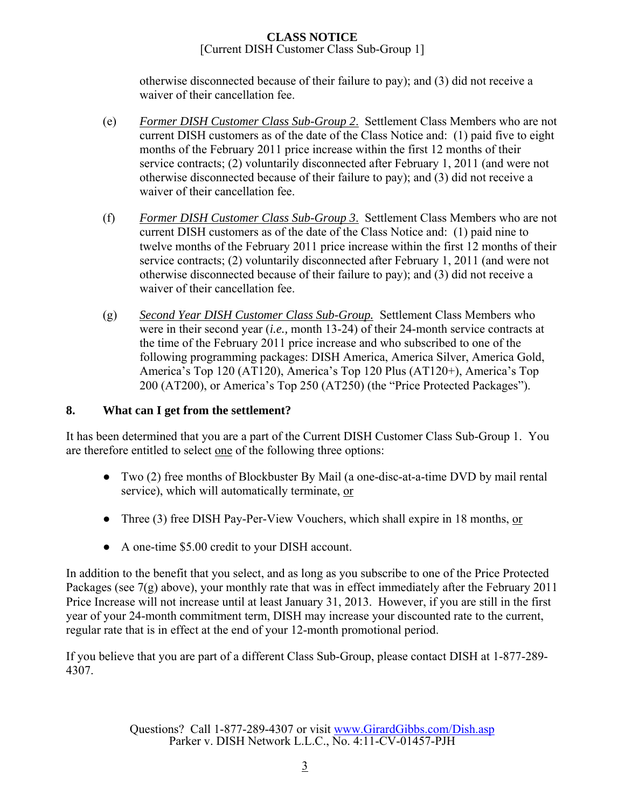otherwise disconnected because of their failure to pay); and (3) did not receive a waiver of their cancellation fee.

- (e) *Former DISH Customer Class Sub-Group 2*. Settlement Class Members who are not current DISH customers as of the date of the Class Notice and: (1) paid five to eight months of the February 2011 price increase within the first 12 months of their service contracts; (2) voluntarily disconnected after February 1, 2011 (and were not otherwise disconnected because of their failure to pay); and (3) did not receive a waiver of their cancellation fee.
- (f) *Former DISH Customer Class Sub-Group 3*. Settlement Class Members who are not current DISH customers as of the date of the Class Notice and: (1) paid nine to twelve months of the February 2011 price increase within the first 12 months of their service contracts; (2) voluntarily disconnected after February 1, 2011 (and were not otherwise disconnected because of their failure to pay); and (3) did not receive a waiver of their cancellation fee.
- (g) *Second Year DISH Customer Class Sub-Group.* Settlement Class Members who were in their second year (*i.e.,* month 13-24) of their 24-month service contracts at the time of the February 2011 price increase and who subscribed to one of the following programming packages: DISH America, America Silver, America Gold, America's Top 120 (AT120), America's Top 120 Plus (AT120+), America's Top 200 (AT200), or America's Top 250 (AT250) (the "Price Protected Packages").

## **8. What can I get from the settlement?**

It has been determined that you are a part of the Current DISH Customer Class Sub-Group 1. You are therefore entitled to select one of the following three options:

- Two (2) free months of Blockbuster By Mail (a one-disc-at-a-time DVD by mail rental service), which will automatically terminate, or
- Three (3) free DISH Pay-Per-View Vouchers, which shall expire in 18 months, or
- A one-time \$5.00 credit to your DISH account.

In addition to the benefit that you select, and as long as you subscribe to one of the Price Protected Packages (see 7(g) above), your monthly rate that was in effect immediately after the February 2011 Price Increase will not increase until at least January 31, 2013. However, if you are still in the first year of your 24-month commitment term, DISH may increase your discounted rate to the current, regular rate that is in effect at the end of your 12-month promotional period.

If you believe that you are part of a different Class Sub-Group, please contact DISH at 1-877-289- 4307.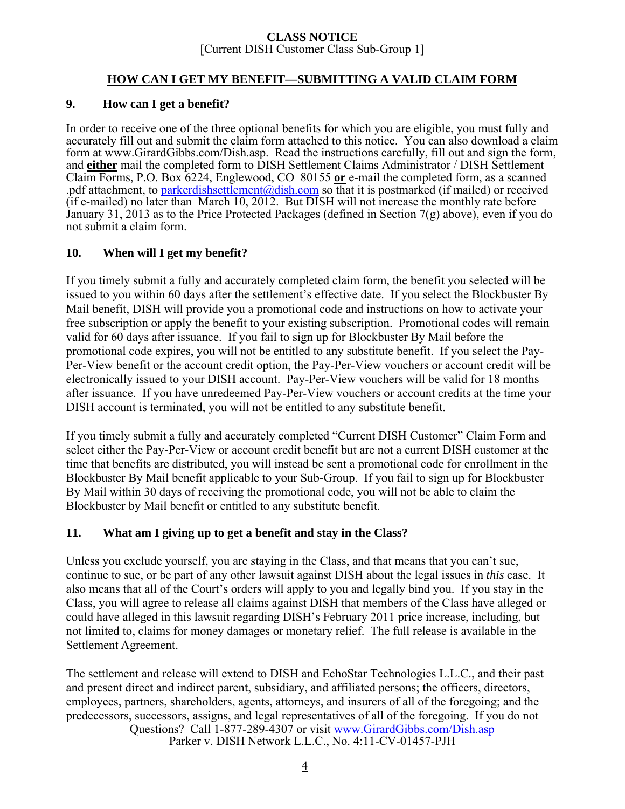## **HOW CAN I GET MY BENEFIT—SUBMITTING A VALID CLAIM FORM**

### **9. How can I get a benefit?**

In order to receive one of the three optional benefits for which you are eligible, you must fully and accurately fill out and submit the claim form attached to this notice. You can also download a claim form at www.GirardGibbs.com/Dish.asp. Read the instructions carefully, fill out and sign the form, and **either** mail the completed form to DISH Settlement Claims Administrator / DISH Settlement Claim Forms, P.O. Box 6224, Englewood, CO 80155 **or** e-mail the completed form, as a scanned .pdf attachment, to parkerdishsettlement@dish.com so that it is postmarked (if mailed) or received (if e-mailed) no later than March 10, 2012. But DISH will not increase the monthly rate before January 31, 2013 as to the Price Protected Packages (defined in Section 7(g) above), even if you do not submit a claim form.

## **10. When will I get my benefit?**

If you timely submit a fully and accurately completed claim form, the benefit you selected will be issued to you within 60 days after the settlement's effective date. If you select the Blockbuster By Mail benefit, DISH will provide you a promotional code and instructions on how to activate your free subscription or apply the benefit to your existing subscription. Promotional codes will remain valid for 60 days after issuance. If you fail to sign up for Blockbuster By Mail before the promotional code expires, you will not be entitled to any substitute benefit. If you select the Pay-Per-View benefit or the account credit option, the Pay-Per-View vouchers or account credit will be electronically issued to your DISH account. Pay-Per-View vouchers will be valid for 18 months after issuance. If you have unredeemed Pay-Per-View vouchers or account credits at the time your DISH account is terminated, you will not be entitled to any substitute benefit.

If you timely submit a fully and accurately completed "Current DISH Customer" Claim Form and select either the Pay-Per-View or account credit benefit but are not a current DISH customer at the time that benefits are distributed, you will instead be sent a promotional code for enrollment in the Blockbuster By Mail benefit applicable to your Sub-Group. If you fail to sign up for Blockbuster By Mail within 30 days of receiving the promotional code, you will not be able to claim the Blockbuster by Mail benefit or entitled to any substitute benefit.

## **11. What am I giving up to get a benefit and stay in the Class?**

Unless you exclude yourself, you are staying in the Class, and that means that you can't sue, continue to sue, or be part of any other lawsuit against DISH about the legal issues in *this* case. It also means that all of the Court's orders will apply to you and legally bind you. If you stay in the Class, you will agree to release all claims against DISH that members of the Class have alleged or could have alleged in this lawsuit regarding DISH's February 2011 price increase, including, but not limited to, claims for money damages or monetary relief. The full release is available in the Settlement Agreement.

Questions? Call 1-877-289-4307 or visit www.GirardGibbs.com/Dish.asp Parker v. DISH Network L.L.C., No. 4:11-CV-01457-PJH The settlement and release will extend to DISH and EchoStar Technologies L.L.C., and their past and present direct and indirect parent, subsidiary, and affiliated persons; the officers, directors, employees, partners, shareholders, agents, attorneys, and insurers of all of the foregoing; and the predecessors, successors, assigns, and legal representatives of all of the foregoing. If you do not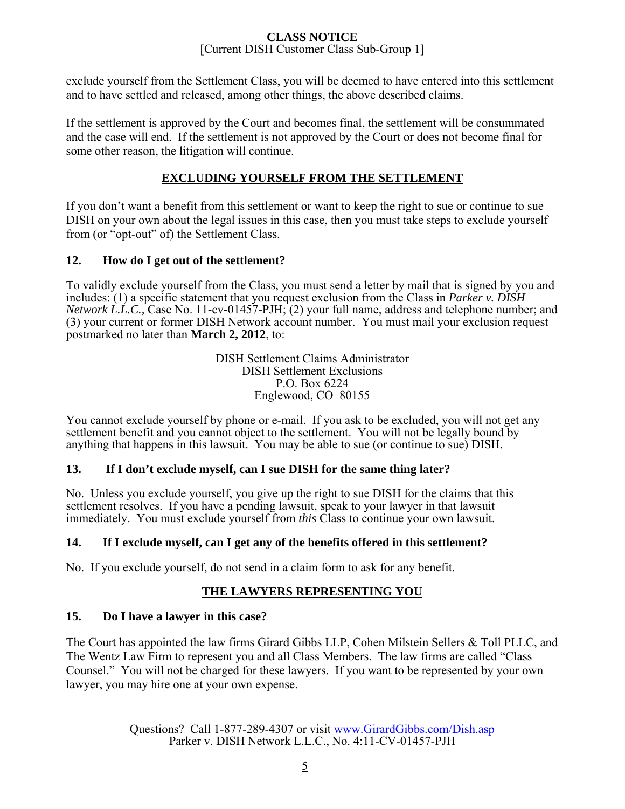exclude yourself from the Settlement Class, you will be deemed to have entered into this settlement and to have settled and released, among other things, the above described claims.

If the settlement is approved by the Court and becomes final, the settlement will be consummated and the case will end. If the settlement is not approved by the Court or does not become final for some other reason, the litigation will continue.

## **EXCLUDING YOURSELF FROM THE SETTLEMENT**

If you don't want a benefit from this settlement or want to keep the right to sue or continue to sue DISH on your own about the legal issues in this case, then you must take steps to exclude yourself from (or "opt-out" of) the Settlement Class.

## **12. How do I get out of the settlement?**

To validly exclude yourself from the Class, you must send a letter by mail that is signed by you and includes: (1) a specific statement that you request exclusion from the Class in *Parker v. DISH Network L.L.C.,* Case No. 11-cv-01457-PJH; (2) your full name, address and telephone number; and (3) your current or former DISH Network account number. You must mail your exclusion request postmarked no later than **March 2, 2012**, to:

> DISH Settlement Claims Administrator DISH Settlement Exclusions P.O. Box 6224 Englewood, CO 80155

You cannot exclude yourself by phone or e-mail. If you ask to be excluded, you will not get any settlement benefit and you cannot object to the settlement. You will not be legally bound by anything that happens in this lawsuit. You may be able to sue (or continue to sue) DISH.

## **13. If I don't exclude myself, can I sue DISH for the same thing later?**

No. Unless you exclude yourself, you give up the right to sue DISH for the claims that this settlement resolves. If you have a pending lawsuit, speak to your lawyer in that lawsuit immediately. You must exclude yourself from *this* Class to continue your own lawsuit.

## **14. If I exclude myself, can I get any of the benefits offered in this settlement?**

No. If you exclude yourself, do not send in a claim form to ask for any benefit.

## **THE LAWYERS REPRESENTING YOU**

## **15. Do I have a lawyer in this case?**

The Court has appointed the law firms Girard Gibbs LLP, Cohen Milstein Sellers & Toll PLLC, and The Wentz Law Firm to represent you and all Class Members. The law firms are called "Class Counsel." You will not be charged for these lawyers. If you want to be represented by your own lawyer, you may hire one at your own expense.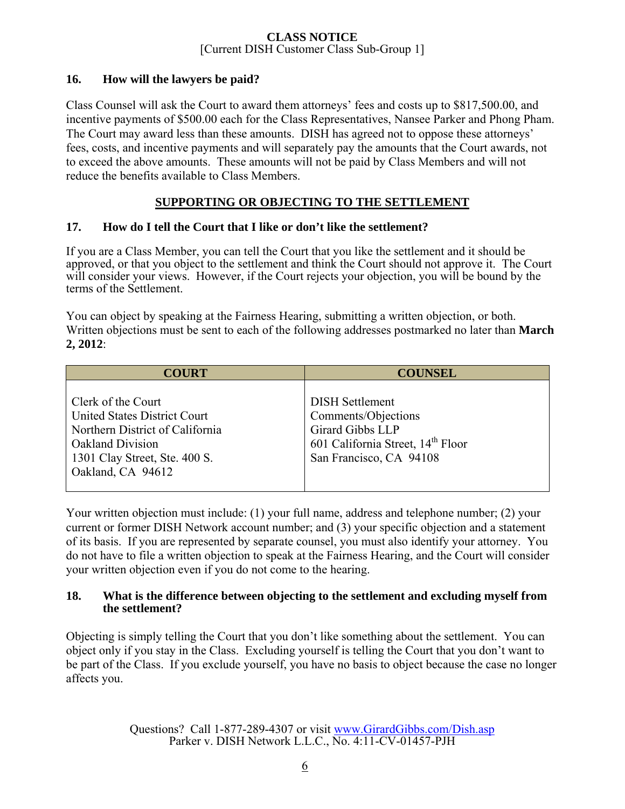## **16. How will the lawyers be paid?**

Class Counsel will ask the Court to award them attorneys' fees and costs up to \$817,500.00, and incentive payments of \$500.00 each for the Class Representatives, Nansee Parker and Phong Pham. The Court may award less than these amounts. DISH has agreed not to oppose these attorneys' fees, costs, and incentive payments and will separately pay the amounts that the Court awards, not to exceed the above amounts. These amounts will not be paid by Class Members and will not reduce the benefits available to Class Members.

## **SUPPORTING OR OBJECTING TO THE SETTLEMENT**

## **17. How do I tell the Court that I like or don't like the settlement?**

If you are a Class Member, you can tell the Court that you like the settlement and it should be approved, or that you object to the settlement and think the Court should not approve it. The Court will consider your views. However, if the Court rejects your objection, you will be bound by the terms of the Settlement.

You can object by speaking at the Fairness Hearing, submitting a written objection, or both. Written objections must be sent to each of the following addresses postmarked no later than **March 2, 2012**:

| <b>COURT</b>                                                                                                                                                                  | <b>COUNSEL</b>                                                                                                                                |
|-------------------------------------------------------------------------------------------------------------------------------------------------------------------------------|-----------------------------------------------------------------------------------------------------------------------------------------------|
| Clerk of the Court<br><b>United States District Court</b><br>Northern District of California<br><b>Oakland Division</b><br>1301 Clay Street, Ste. 400 S.<br>Oakland, CA 94612 | <b>DISH Settlement</b><br>Comments/Objections<br>Girard Gibbs LLP<br>601 California Street, 14 <sup>th</sup> Floor<br>San Francisco, CA 94108 |

Your written objection must include: (1) your full name, address and telephone number; (2) your current or former DISH Network account number; and (3) your specific objection and a statement of its basis. If you are represented by separate counsel, you must also identify your attorney. You do not have to file a written objection to speak at the Fairness Hearing, and the Court will consider your written objection even if you do not come to the hearing.

### **18. What is the difference between objecting to the settlement and excluding myself from the settlement?**

Objecting is simply telling the Court that you don't like something about the settlement. You can object only if you stay in the Class. Excluding yourself is telling the Court that you don't want to be part of the Class. If you exclude yourself, you have no basis to object because the case no longer affects you.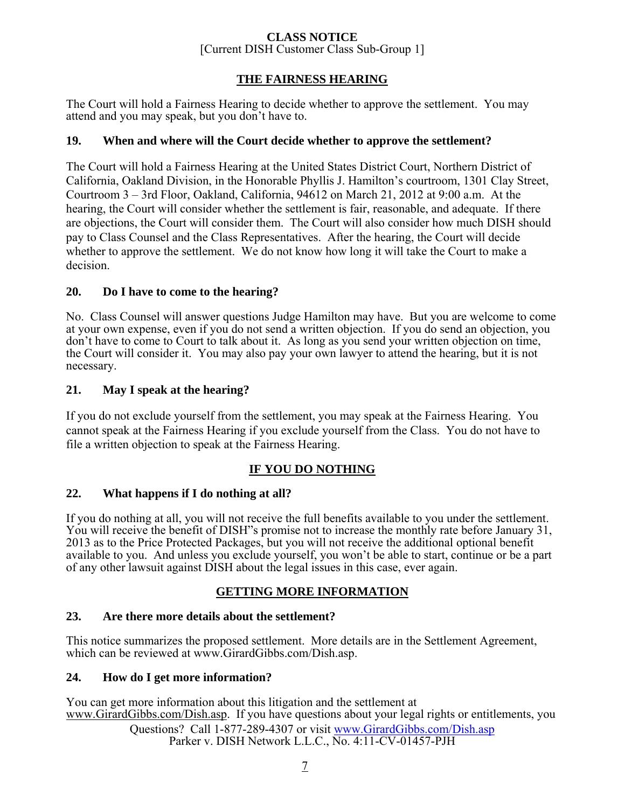## **THE FAIRNESS HEARING**

The Court will hold a Fairness Hearing to decide whether to approve the settlement. You may attend and you may speak, but you don't have to.

### **19. When and where will the Court decide whether to approve the settlement?**

The Court will hold a Fairness Hearing at the United States District Court, Northern District of California, Oakland Division, in the Honorable Phyllis J. Hamilton's courtroom, 1301 Clay Street, Courtroom 3 – 3rd Floor, Oakland, California, 94612 on March 21, 2012 at 9:00 a.m. At the hearing, the Court will consider whether the settlement is fair, reasonable, and adequate. If there are objections, the Court will consider them. The Court will also consider how much DISH should pay to Class Counsel and the Class Representatives. After the hearing, the Court will decide whether to approve the settlement. We do not know how long it will take the Court to make a decision.

### **20. Do I have to come to the hearing?**

No. Class Counsel will answer questions Judge Hamilton may have. But you are welcome to come at your own expense, even if you do not send a written objection. If you do send an objection, you don't have to come to Court to talk about it. As long as you send your written objection on time, the Court will consider it. You may also pay your own lawyer to attend the hearing, but it is not necessary.

### **21. May I speak at the hearing?**

If you do not exclude yourself from the settlement, you may speak at the Fairness Hearing. You cannot speak at the Fairness Hearing if you exclude yourself from the Class. You do not have to file a written objection to speak at the Fairness Hearing.

## **IF YOU DO NOTHING**

### **22. What happens if I do nothing at all?**

If you do nothing at all, you will not receive the full benefits available to you under the settlement. You will receive the benefit of DISH"s promise not to increase the monthly rate before January 31, 2013 as to the Price Protected Packages, but you will not receive the additional optional benefit available to you. And unless you exclude yourself, you won't be able to start, continue or be a part of any other lawsuit against DISH about the legal issues in this case, ever again.

## **GETTING MORE INFORMATION**

### **23. Are there more details about the settlement?**

This notice summarizes the proposed settlement. More details are in the Settlement Agreement, which can be reviewed at www.GirardGibbs.com/Dish.asp.

### **24. How do I get more information?**

Questions? Call 1-877-289-4307 or visit www.GirardGibbs.com/Dish.asp Parker v. DISH Network L.L.C., No. 4:11-CV-01457-PJH You can get more information about this litigation and the settlement at www.GirardGibbs.com/Dish.asp. If you have questions about your legal rights or entitlements, you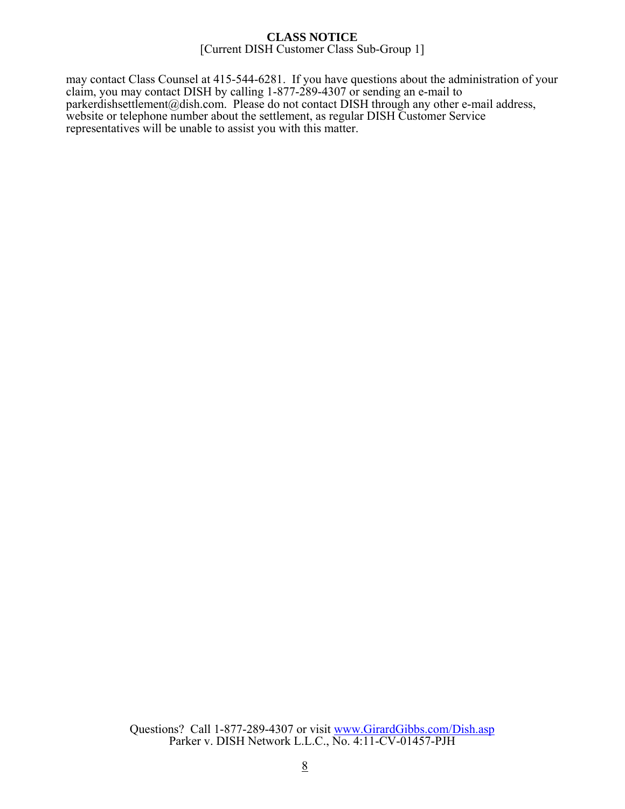may contact Class Counsel at 415-544-6281. If you have questions about the administration of your claim, you may contact DISH by calling 1-877-289-4307 or sending an e-mail to parkerdishsettlement@dish.com. Please do not contact DISH through any other e-mail address, website or telephone number about the settlement, as regular DISH Customer Service representatives will be unable to assist you with this matter.